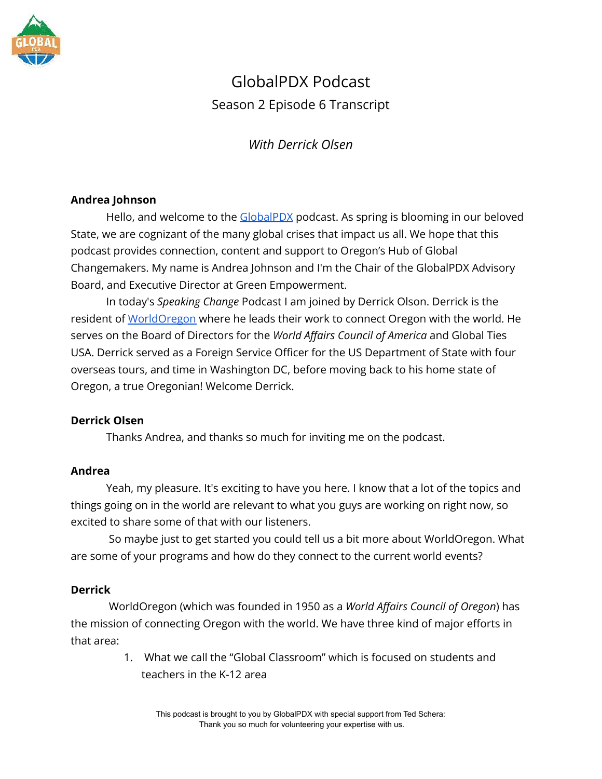

# GlobalPDX Podcast Season 2 Episode 6 Transcript

*With Derrick Olsen*

# **Andrea Johnson**

Hello, and welcome to the [GlobalPDX](https://globalpdx.org/) podcast. As spring is blooming in our beloved State, we are cognizant of the many global crises that impact us all. We hope that this podcast provides connection, content and support to Oregon's Hub of Global Changemakers. My name is Andrea Johnson and I'm the Chair of the GlobalPDX Advisory Board, and Executive Director at Green Empowerment.

In today's *Speaking Change* Podcast I am joined by Derrick Olson. Derrick is the resident of [WorldOregon](https://www.worldoregon.org/) where he leads their work to connect Oregon with the world. He serves on the Board of Directors for the *World Affairs Council of America* and Global Ties USA. Derrick served as a Foreign Service Officer for the US Department of State with four overseas tours, and time in Washington DC, before moving back to his home state of Oregon, a true Oregonian! Welcome Derrick.

# **Derrick Olsen**

Thanks Andrea, and thanks so much for inviting me on the podcast.

# **Andrea**

Yeah, my pleasure. It's exciting to have you here. I know that a lot of the topics and things going on in the world are relevant to what you guys are working on right now, so excited to share some of that with our listeners.

So maybe just to get started you could tell us a bit more about WorldOregon. What are some of your programs and how do they connect to the current world events?

# **Derrick**

WorldOregon (which was founded in 1950 as a *World Affairs Council of Oregon*) has the mission of connecting Oregon with the world. We have three kind of major efforts in that area:

> 1. What we call the "Global Classroom" which is focused on students and teachers in the K-12 area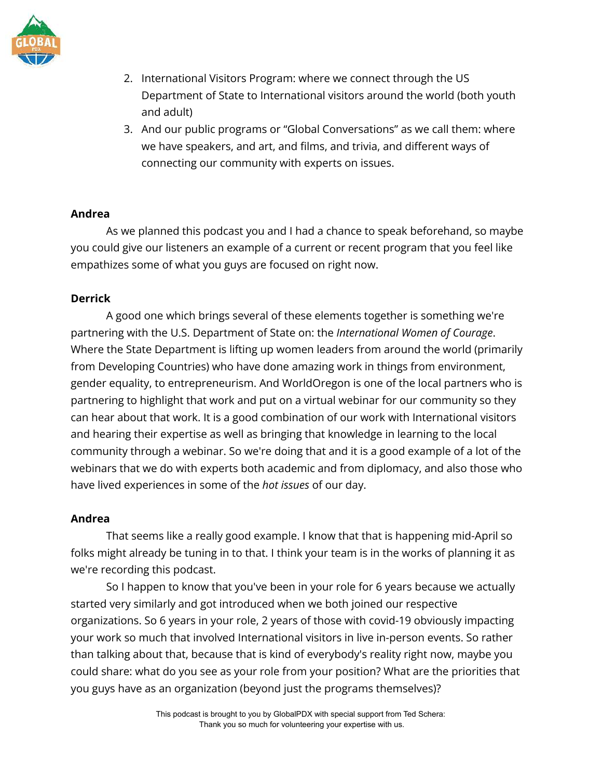

- 2. International Visitors Program: where we connect through the US Department of State to International visitors around the world (both youth and adult)
- 3. And our public programs or "Global Conversations" as we call them: where we have speakers, and art, and films, and trivia, and different ways of connecting our community with experts on issues.

#### **Andrea**

As we planned this podcast you and I had a chance to speak beforehand, so maybe you could give our listeners an example of a current or recent program that you feel like empathizes some of what you guys are focused on right now.

#### **Derrick**

A good one which brings several of these elements together is something we're partnering with the U.S. Department of State on: the *International Women of Courage*. Where the State Department is lifting up women leaders from around the world (primarily from Developing Countries) who have done amazing work in things from environment, gender equality, to entrepreneurism. And WorldOregon is one of the local partners who is partnering to highlight that work and put on a virtual webinar for our community so they can hear about that work. It is a good combination of our work with International visitors and hearing their expertise as well as bringing that knowledge in learning to the local community through a webinar. So we're doing that and it is a good example of a lot of the webinars that we do with experts both academic and from diplomacy, and also those who have lived experiences in some of the *hot issues* of our day.

# **Andrea**

That seems like a really good example. I know that that is happening mid-April so folks might already be tuning in to that. I think your team is in the works of planning it as we're recording this podcast.

So I happen to know that you've been in your role for 6 years because we actually started very similarly and got introduced when we both joined our respective organizations. So 6 years in your role, 2 years of those with covid-19 obviously impacting your work so much that involved International visitors in live in-person events. So rather than talking about that, because that is kind of everybody's reality right now, maybe you could share: what do you see as your role from your position? What are the priorities that you guys have as an organization (beyond just the programs themselves)?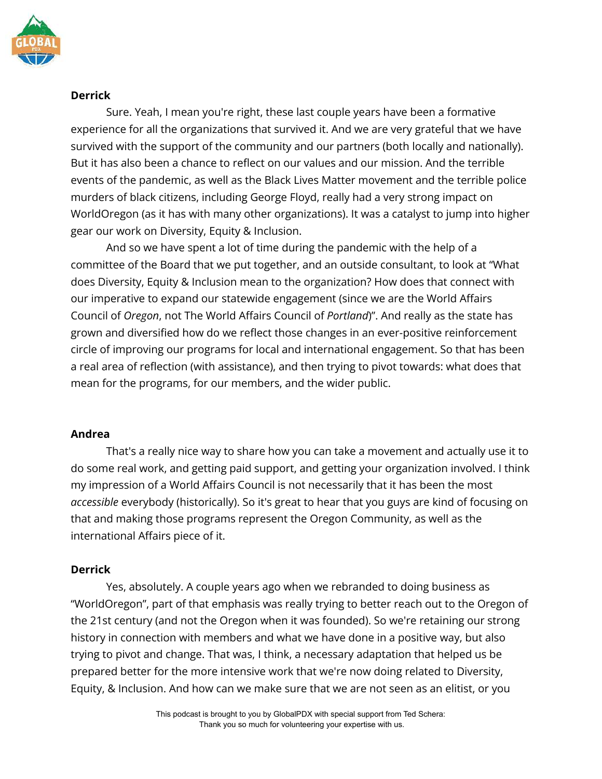

Sure. Yeah, I mean you're right, these last couple years have been a formative experience for all the organizations that survived it. And we are very grateful that we have survived with the support of the community and our partners (both locally and nationally). But it has also been a chance to reflect on our values and our mission. And the terrible events of the pandemic, as well as the Black Lives Matter movement and the terrible police murders of black citizens, including George Floyd, really had a very strong impact on WorldOregon (as it has with many other organizations). It was a catalyst to jump into higher gear our work on Diversity, Equity & Inclusion.

And so we have spent a lot of time during the pandemic with the help of a committee of the Board that we put together, and an outside consultant, to look at "What does Diversity, Equity & Inclusion mean to the organization? How does that connect with our imperative to expand our statewide engagement (since we are the World Affairs Council of *Oregon*, not The World Affairs Council of *Portland*)". And really as the state has grown and diversified how do we reflect those changes in an ever-positive reinforcement circle of improving our programs for local and international engagement. So that has been a real area of reflection (with assistance), and then trying to pivot towards: what does that mean for the programs, for our members, and the wider public.

# **Andrea**

That's a really nice way to share how you can take a movement and actually use it to do some real work, and getting paid support, and getting your organization involved. I think my impression of a World Affairs Council is not necessarily that it has been the most *accessible* everybody (historically). So it's great to hear that you guys are kind of focusing on that and making those programs represent the Oregon Community, as well as the international Affairs piece of it.

# **Derrick**

Yes, absolutely. A couple years ago when we rebranded to doing business as "WorldOregon", part of that emphasis was really trying to better reach out to the Oregon of the 21st century (and not the Oregon when it was founded). So we're retaining our strong history in connection with members and what we have done in a positive way, but also trying to pivot and change. That was, I think, a necessary adaptation that helped us be prepared better for the more intensive work that we're now doing related to Diversity, Equity, & Inclusion. And how can we make sure that we are not seen as an elitist, or you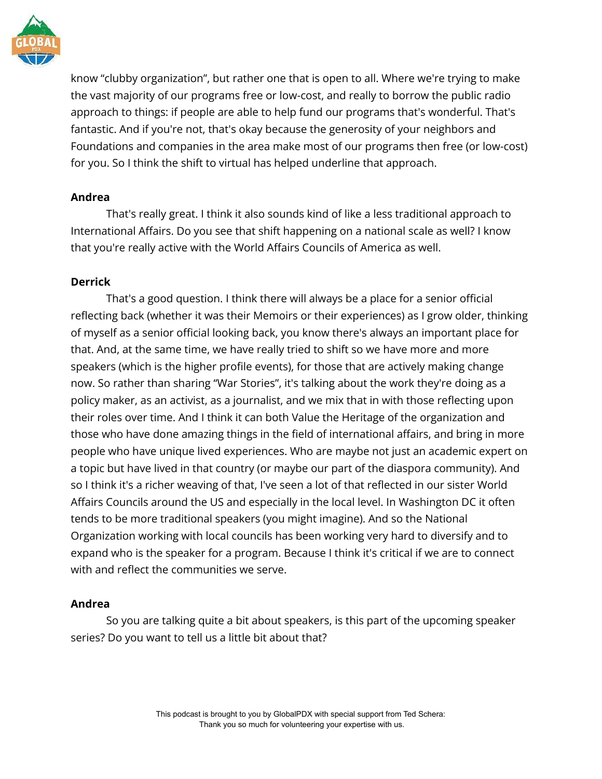

know "clubby organization", but rather one that is open to all. Where we're trying to make the vast majority of our programs free or low-cost, and really to borrow the public radio approach to things: if people are able to help fund our programs that's wonderful. That's fantastic. And if you're not, that's okay because the generosity of your neighbors and Foundations and companies in the area make most of our programs then free (or low-cost) for you. So I think the shift to virtual has helped underline that approach.

# **Andrea**

That's really great. I think it also sounds kind of like a less traditional approach to International Affairs. Do you see that shift happening on a national scale as well? I know that you're really active with the World Affairs Councils of America as well.

# **Derrick**

That's a good question. I think there will always be a place for a senior official reflecting back (whether it was their Memoirs or their experiences) as I grow older, thinking of myself as a senior official looking back, you know there's always an important place for that. And, at the same time, we have really tried to shift so we have more and more speakers (which is the higher profile events), for those that are actively making change now. So rather than sharing "War Stories", it's talking about the work they're doing as a policy maker, as an activist, as a journalist, and we mix that in with those reflecting upon their roles over time. And I think it can both Value the Heritage of the organization and those who have done amazing things in the field of international affairs, and bring in more people who have unique lived experiences. Who are maybe not just an academic expert on a topic but have lived in that country (or maybe our part of the diaspora community). And so I think it's a richer weaving of that, I've seen a lot of that reflected in our sister World Affairs Councils around the US and especially in the local level. In Washington DC it often tends to be more traditional speakers (you might imagine). And so the National Organization working with local councils has been working very hard to diversify and to expand who is the speaker for a program. Because I think it's critical if we are to connect with and reflect the communities we serve.

# **Andrea**

So you are talking quite a bit about speakers, is this part of the upcoming speaker series? Do you want to tell us a little bit about that?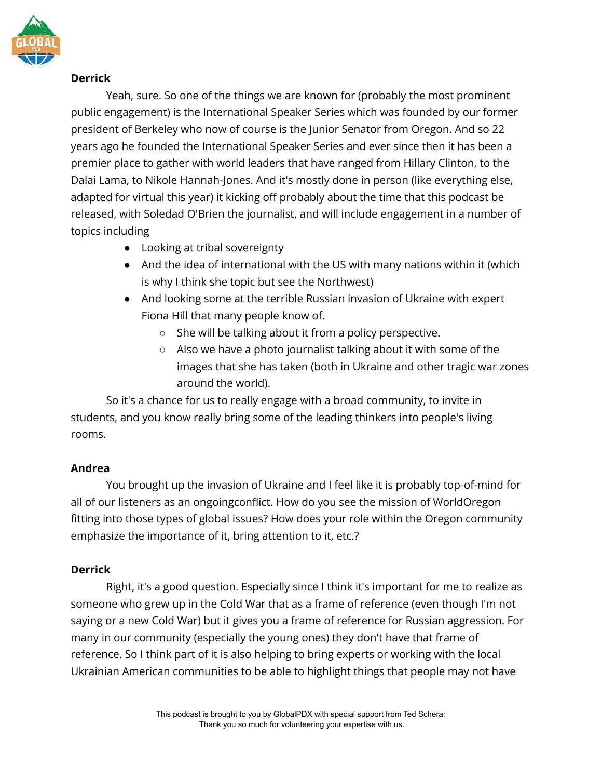

Yeah, sure. So one of the things we are known for (probably the most prominent public engagement) is the International Speaker Series which was founded by our former president of Berkeley who now of course is the Junior Senator from Oregon. And so 22 years ago he founded the International Speaker Series and ever since then it has been a premier place to gather with world leaders that have ranged from Hillary Clinton, to the Dalai Lama, to Nikole Hannah-Jones. And it's mostly done in person (like everything else, adapted for virtual this year) it kicking off probably about the time that this podcast be released, with Soledad O'Brien the journalist, and will include engagement in a number of topics including

- Looking at tribal sovereignty
- And the idea of international with the US with many nations within it (which is why I think she topic but see the Northwest)
- And looking some at the terrible Russian invasion of Ukraine with expert Fiona Hill that many people know of.
	- She will be talking about it from a policy perspective.
	- Also we have a photo journalist talking about it with some of the images that she has taken (both in Ukraine and other tragic war zones around the world).

So it's a chance for us to really engage with a broad community, to invite in students, and you know really bring some of the leading thinkers into people's living rooms.

# **Andrea**

You brought up the invasion of Ukraine and I feel like it is probably top-of-mind for all of our listeners as an ongoingconflict. How do you see the mission of WorldOregon fitting into those types of global issues? How does your role within the Oregon community emphasize the importance of it, bring attention to it, etc.?

# **Derrick**

Right, it's a good question. Especially since I think it's important for me to realize as someone who grew up in the Cold War that as a frame of reference (even though I'm not saying or a new Cold War) but it gives you a frame of reference for Russian aggression. For many in our community (especially the young ones) they don't have that frame of reference. So I think part of it is also helping to bring experts or working with the local Ukrainian American communities to be able to highlight things that people may not have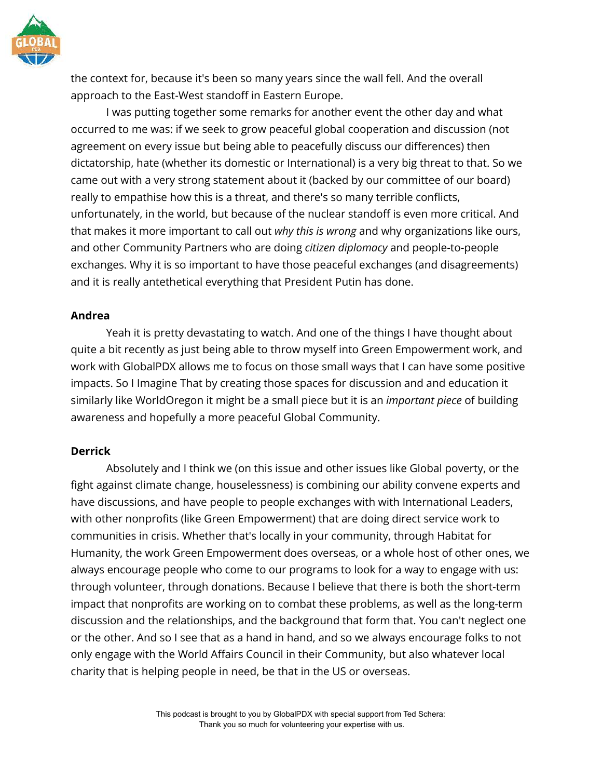

the context for, because it's been so many years since the wall fell. And the overall approach to the East-West standoff in Eastern Europe.

I was putting together some remarks for another event the other day and what occurred to me was: if we seek to grow peaceful global cooperation and discussion (not agreement on every issue but being able to peacefully discuss our differences) then dictatorship, hate (whether its domestic or International) is a very big threat to that. So we came out with a very strong statement about it (backed by our committee of our board) really to empathise how this is a threat, and there's so many terrible conflicts, unfortunately, in the world, but because of the nuclear standoff is even more critical. And that makes it more important to call out *why this is wrong* and why organizations like ours, and other Community Partners who are doing *citizen diplomacy* and people-to-people exchanges. Why it is so important to have those peaceful exchanges (and disagreements) and it is really antethetical everything that President Putin has done.

#### **Andrea**

Yeah it is pretty devastating to watch. And one of the things I have thought about quite a bit recently as just being able to throw myself into Green Empowerment work, and work with GlobalPDX allows me to focus on those small ways that I can have some positive impacts. So I Imagine That by creating those spaces for discussion and and education it similarly like WorldOregon it might be a small piece but it is an *important piece* of building awareness and hopefully a more peaceful Global Community.

#### **Derrick**

Absolutely and I think we (on this issue and other issues like Global poverty, or the fight against climate change, houselessness) is combining our ability convene experts and have discussions, and have people to people exchanges with with International Leaders, with other nonprofits (like Green Empowerment) that are doing direct service work to communities in crisis. Whether that's locally in your community, through Habitat for Humanity, the work Green Empowerment does overseas, or a whole host of other ones, we always encourage people who come to our programs to look for a way to engage with us: through volunteer, through donations. Because I believe that there is both the short-term impact that nonprofits are working on to combat these problems, as well as the long-term discussion and the relationships, and the background that form that. You can't neglect one or the other. And so I see that as a hand in hand, and so we always encourage folks to not only engage with the World Affairs Council in their Community, but also whatever local charity that is helping people in need, be that in the US or overseas.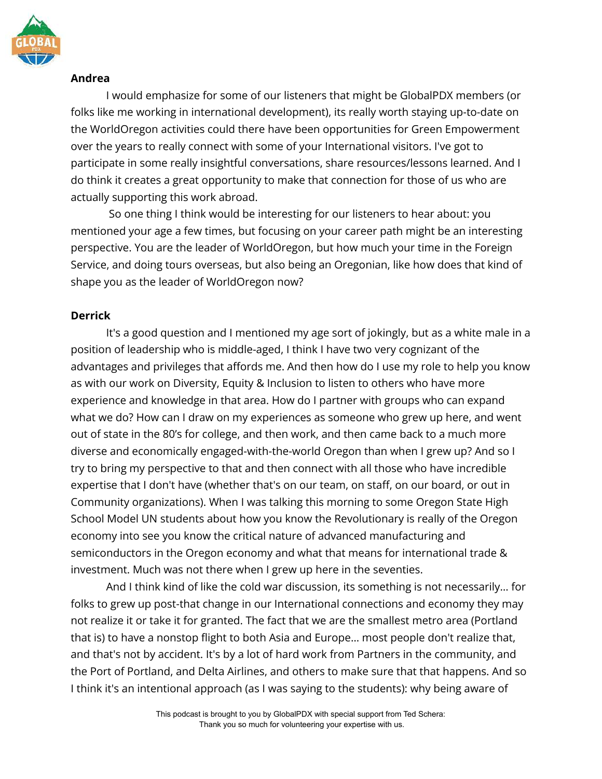

# **Andrea**

I would emphasize for some of our listeners that might be GlobalPDX members (or folks like me working in international development), its really worth staying up-to-date on the WorldOregon activities could there have been opportunities for Green Empowerment over the years to really connect with some of your International visitors. I've got to participate in some really insightful conversations, share resources/lessons learned. And I do think it creates a great opportunity to make that connection for those of us who are actually supporting this work abroad.

So one thing I think would be interesting for our listeners to hear about: you mentioned your age a few times, but focusing on your career path might be an interesting perspective. You are the leader of WorldOregon, but how much your time in the Foreign Service, and doing tours overseas, but also being an Oregonian, like how does that kind of shape you as the leader of WorldOregon now?

# **Derrick**

It's a good question and I mentioned my age sort of jokingly, but as a white male in a position of leadership who is middle-aged, I think I have two very cognizant of the advantages and privileges that affords me. And then how do I use my role to help you know as with our work on Diversity, Equity & Inclusion to listen to others who have more experience and knowledge in that area. How do I partner with groups who can expand what we do? How can I draw on my experiences as someone who grew up here, and went out of state in the 80's for college, and then work, and then came back to a much more diverse and economically engaged-with-the-world Oregon than when I grew up? And so I try to bring my perspective to that and then connect with all those who have incredible expertise that I don't have (whether that's on our team, on staff, on our board, or out in Community organizations). When I was talking this morning to some Oregon State High School Model UN students about how you know the Revolutionary is really of the Oregon economy into see you know the critical nature of advanced manufacturing and semiconductors in the Oregon economy and what that means for international trade & investment. Much was not there when I grew up here in the seventies.

And I think kind of like the cold war discussion, its something is not necessarily… for folks to grew up post-that change in our International connections and economy they may not realize it or take it for granted. The fact that we are the smallest metro area (Portland that is) to have a nonstop flight to both Asia and Europe… most people don't realize that, and that's not by accident. It's by a lot of hard work from Partners in the community, and the Port of Portland, and Delta Airlines, and others to make sure that that happens. And so I think it's an intentional approach (as I was saying to the students): why being aware of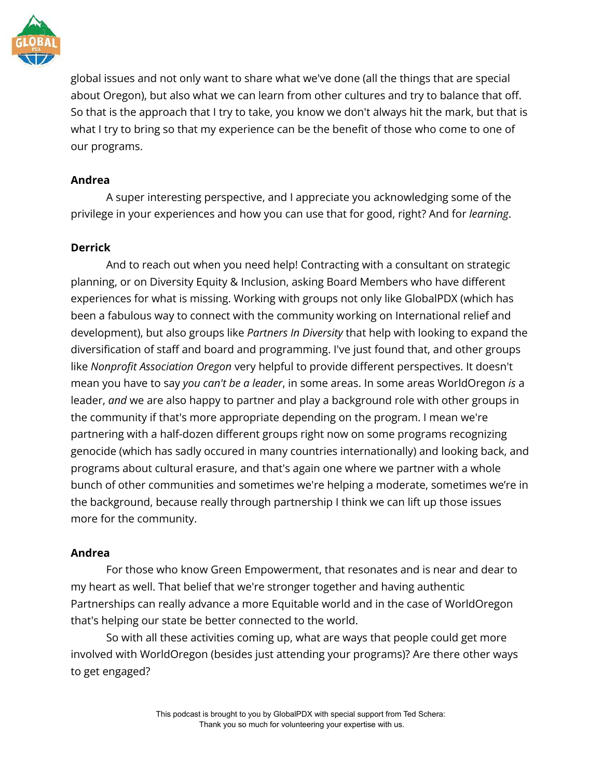

global issues and not only want to share what we've done (all the things that are special about Oregon), but also what we can learn from other cultures and try to balance that off. So that is the approach that I try to take, you know we don't always hit the mark, but that is what I try to bring so that my experience can be the benefit of those who come to one of our programs.

# **Andrea**

A super interesting perspective, and I appreciate you acknowledging some of the privilege in your experiences and how you can use that for good, right? And for *learning*.

#### **Derrick**

And to reach out when you need help! Contracting with a consultant on strategic planning, or on Diversity Equity & Inclusion, asking Board Members who have different experiences for what is missing. Working with groups not only like GlobalPDX (which has been a fabulous way to connect with the community working on International relief and development), but also groups like *Partners In Diversity* that help with looking to expand the diversification of staff and board and programming. I've just found that, and other groups like *Nonprofit Association Oregon* very helpful to provide different perspectives. It doesn't mean you have to say *you can't be a leader*, in some areas. In some areas WorldOregon *is* a leader, *and* we are also happy to partner and play a background role with other groups in the community if that's more appropriate depending on the program. I mean we're partnering with a half-dozen different groups right now on some programs recognizing genocide (which has sadly occured in many countries internationally) and looking back, and programs about cultural erasure, and that's again one where we partner with a whole bunch of other communities and sometimes we're helping a moderate, sometimes we're in the background, because really through partnership I think we can lift up those issues more for the community.

# **Andrea**

For those who know Green Empowerment, that resonates and is near and dear to my heart as well. That belief that we're stronger together and having authentic Partnerships can really advance a more Equitable world and in the case of WorldOregon that's helping our state be better connected to the world.

So with all these activities coming up, what are ways that people could get more involved with WorldOregon (besides just attending your programs)? Are there other ways to get engaged?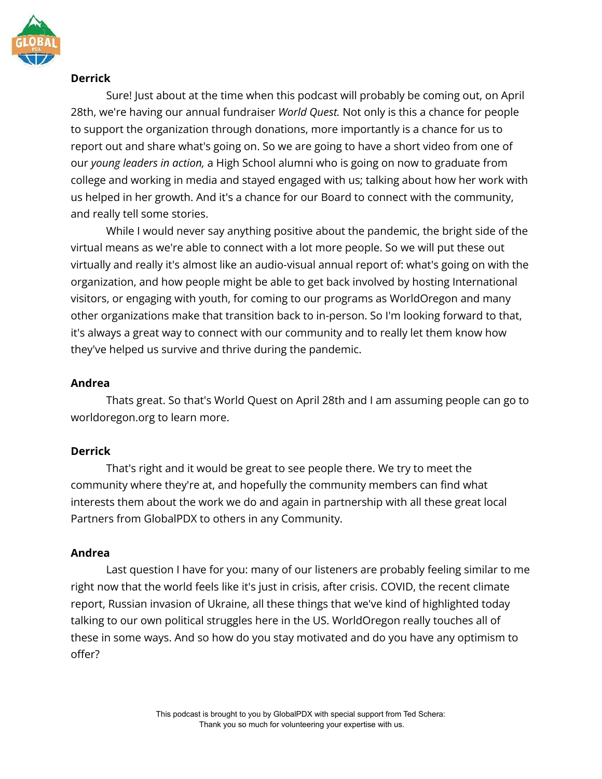

Sure! Just about at the time when this podcast will probably be coming out, on April 28th, we're having our annual fundraiser *World Quest.* Not only is this a chance for people to support the organization through donations, more importantly is a chance for us to report out and share what's going on. So we are going to have a short video from one of our *young leaders in action,* a High School alumni who is going on now to graduate from college and working in media and stayed engaged with us; talking about how her work with us helped in her growth. And it's a chance for our Board to connect with the community, and really tell some stories.

While I would never say anything positive about the pandemic, the bright side of the virtual means as we're able to connect with a lot more people. So we will put these out virtually and really it's almost like an audio-visual annual report of: what's going on with the organization, and how people might be able to get back involved by hosting International visitors, or engaging with youth, for coming to our programs as WorldOregon and many other organizations make that transition back to in-person. So I'm looking forward to that, it's always a great way to connect with our community and to really let them know how they've helped us survive and thrive during the pandemic.

# **Andrea**

Thats great. So that's World Quest on April 28th and I am assuming people can go to worldoregon.org to learn more.

# **Derrick**

That's right and it would be great to see people there. We try to meet the community where they're at, and hopefully the community members can find what interests them about the work we do and again in partnership with all these great local Partners from GlobalPDX to others in any Community.

# **Andrea**

Last question I have for you: many of our listeners are probably feeling similar to me right now that the world feels like it's just in crisis, after crisis. COVID, the recent climate report, Russian invasion of Ukraine, all these things that we've kind of highlighted today talking to our own political struggles here in the US. WorldOregon really touches all of these in some ways. And so how do you stay motivated and do you have any optimism to offer?